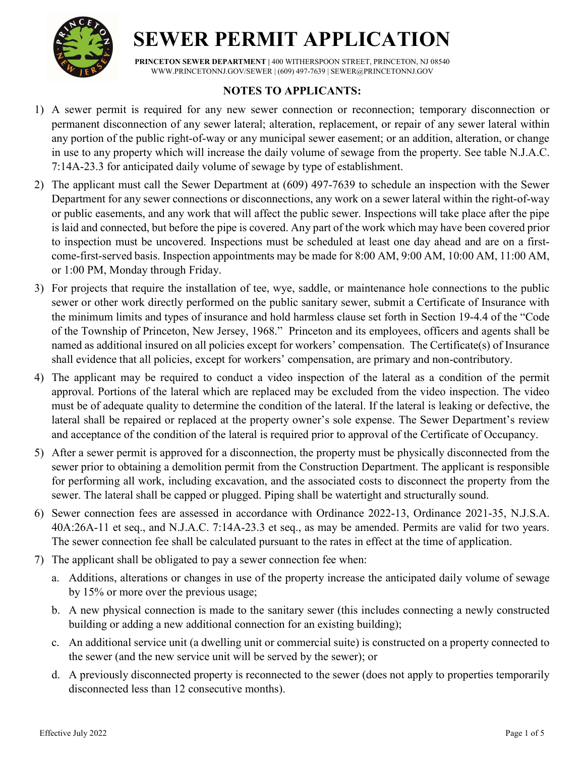

PRINCETON SEWER DEPARTMENT | 400 WITHERSPOON STREET, PRINCETON, NJ 08540 WWW.PRINCETONNJ.GOV/SEWER | (609) 497-7639 | SEWER@PRINCETONNJ.GOV

### NOTES TO APPLICANTS:

- 1) A sewer permit is required for any new sewer connection or reconnection; temporary disconnection or permanent disconnection of any sewer lateral; alteration, replacement, or repair of any sewer lateral within any portion of the public right-of-way or any municipal sewer easement; or an addition, alteration, or change in use to any property which will increase the daily volume of sewage from the property. See table N.J.A.C. 7:14A-23.3 for anticipated daily volume of sewage by type of establishment.
- 2) The applicant must call the Sewer Department at (609) 497-7639 to schedule an inspection with the Sewer Department for any sewer connections or disconnections, any work on a sewer lateral within the right-of-way or public easements, and any work that will affect the public sewer. Inspections will take place after the pipe is laid and connected, but before the pipe is covered. Any part of the work which may have been covered prior to inspection must be uncovered. Inspections must be scheduled at least one day ahead and are on a firstcome-first-served basis. Inspection appointments may be made for 8:00 AM, 9:00 AM, 10:00 AM, 11:00 AM, or 1:00 PM, Monday through Friday.
- 3) For projects that require the installation of tee, wye, saddle, or maintenance hole connections to the public sewer or other work directly performed on the public sanitary sewer, submit a Certificate of Insurance with the minimum limits and types of insurance and hold harmless clause set forth in Section 19-4.4 of the "Code of the Township of Princeton, New Jersey, 1968." Princeton and its employees, officers and agents shall be named as additional insured on all policies except for workers' compensation. The Certificate(s) of Insurance shall evidence that all policies, except for workers' compensation, are primary and non-contributory.
- 4) The applicant may be required to conduct a video inspection of the lateral as a condition of the permit approval. Portions of the lateral which are replaced may be excluded from the video inspection. The video must be of adequate quality to determine the condition of the lateral. If the lateral is leaking or defective, the lateral shall be repaired or replaced at the property owner's sole expense. The Sewer Department's review and acceptance of the condition of the lateral is required prior to approval of the Certificate of Occupancy.
- 5) After a sewer permit is approved for a disconnection, the property must be physically disconnected from the sewer prior to obtaining a demolition permit from the Construction Department. The applicant is responsible for performing all work, including excavation, and the associated costs to disconnect the property from the sewer. The lateral shall be capped or plugged. Piping shall be watertight and structurally sound.
- 6) Sewer connection fees are assessed in accordance with Ordinance 2022-13, Ordinance 2021-35, N.J.S.A. 40A:26A-11 et seq., and N.J.A.C. 7:14A-23.3 et seq., as may be amended. Permits are valid for two years. The sewer connection fee shall be calculated pursuant to the rates in effect at the time of application.
- 7) The applicant shall be obligated to pay a sewer connection fee when:
	- a. Additions, alterations or changes in use of the property increase the anticipated daily volume of sewage by 15% or more over the previous usage;
	- b. A new physical connection is made to the sanitary sewer (this includes connecting a newly constructed building or adding a new additional connection for an existing building);
	- c. An additional service unit (a dwelling unit or commercial suite) is constructed on a property connected to the sewer (and the new service unit will be served by the sewer); or
	- d. A previously disconnected property is reconnected to the sewer (does not apply to properties temporarily disconnected less than 12 consecutive months).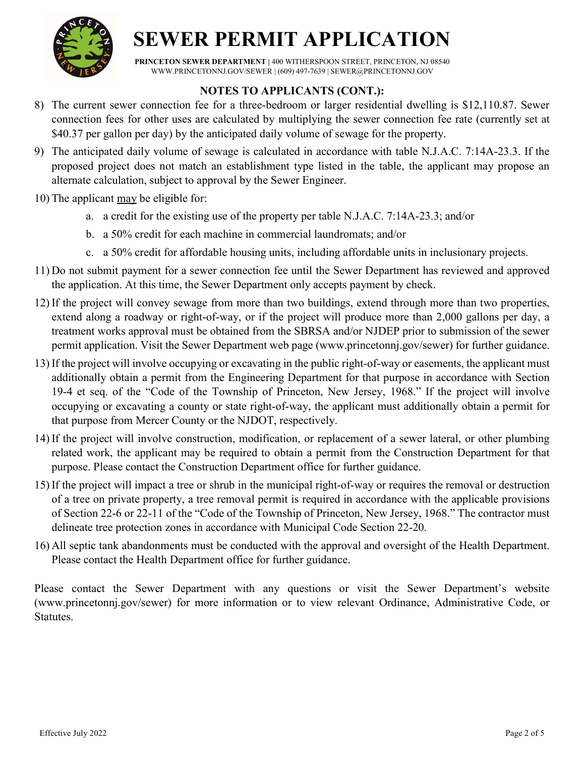

PRINCETON SEWER DEPARTMENT | 400 WITHERSPOON STREET, PRINCETON, NJ 08540 WWW.PRINCETONNJ.GOV/SEWER | (609) 497-7639 | SEWER@PRINCETONNJ.GOV

### NOTES TO APPLICANTS (CONT.):

- 8) The current sewer connection fee for a three-bedroom or larger residential dwelling is \$12,110.87. Sewer connection fees for other uses are calculated by multiplying the sewer connection fee rate (currently set at \$40.37 per gallon per day) by the anticipated daily volume of sewage for the property.
- 9) The anticipated daily volume of sewage is calculated in accordance with table N.J.A.C. 7:14A-23.3. If the proposed project does not match an establishment type listed in the table, the applicant may propose an alternate calculation, subject to approval by the Sewer Engineer.
- 10) The applicant may be eligible for:
	- a. a credit for the existing use of the property per table N.J.A.C. 7:14A-23.3; and/or
	- b. a 50% credit for each machine in commercial laundromats; and/or
	- c. a 50% credit for affordable housing units, including affordable units in inclusionary projects.
- 11) Do not submit payment for a sewer connection fee until the Sewer Department has reviewed and approved the application. At this time, the Sewer Department only accepts payment by check.
- 12) If the project will convey sewage from more than two buildings, extend through more than two properties, extend along a roadway or right-of-way, or if the project will produce more than 2,000 gallons per day, a treatment works approval must be obtained from the SBRSA and/or NJDEP prior to submission of the sewer permit application. Visit the Sewer Department web page (www.princetonnj.gov/sewer) for further guidance.
- 13) If the project will involve occupying or excavating in the public right-of-way or easements, the applicant must additionally obtain a permit from the Engineering Department for that purpose in accordance with Section 19-4 et seq. of the "Code of the Township of Princeton, New Jersey, 1968." If the project will involve occupying or excavating a county or state right-of-way, the applicant must additionally obtain a permit for that purpose from Mercer County or the NJDOT, respectively.
- 14) If the project will involve construction, modification, or replacement of a sewer lateral, or other plumbing related work, the applicant may be required to obtain a permit from the Construction Department for that purpose. Please contact the Construction Department office for further guidance.
- 15) If the project will impact a tree or shrub in the municipal right-of-way or requires the removal or destruction of a tree on private property, a tree removal permit is required in accordance with the applicable provisions of Section 22-6 or 22-11 of the "Code of the Township of Princeton, New Jersey, 1968." The contractor must delineate tree protection zones in accordance with Municipal Code Section 22-20.
- 16) All septic tank abandonments must be conducted with the approval and oversight of the Health Department. Please contact the Health Department office for further guidance.

Please contact the Sewer Department with any questions or visit the Sewer Department's website (www.princetonnj.gov/sewer) for more information or to view relevant Ordinance, Administrative Code, or Statutes.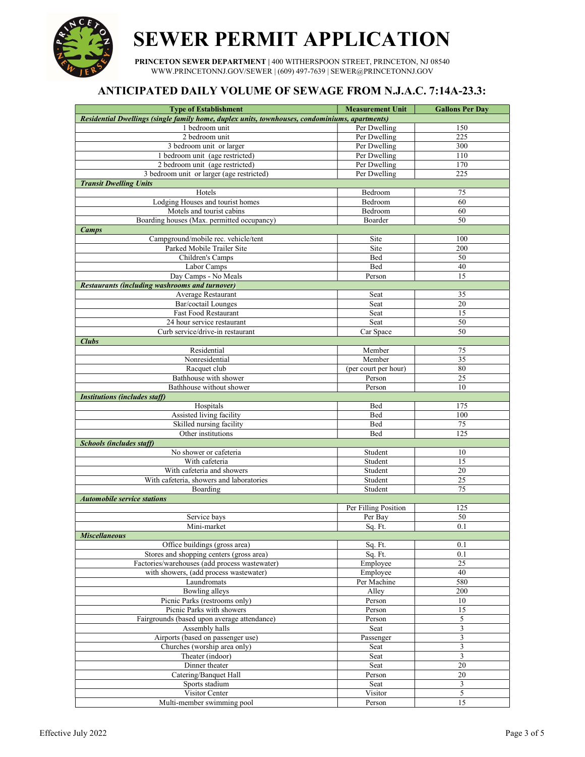

PRINCETON SEWER DEPARTMENT | 400 WITHERSPOON STREET, PRINCETON, NJ 08540 WWW.PRINCETONNJ.GOV/SEWER | (609) 497-7639 | SEWER@PRINCETONNJ.GOV

#### ANTICIPATED DAILY VOLUME OF SEWAGE FROM N.J.A.C. 7:14A-23.3:

| <b>Type of Establishment</b>                                                                   | <b>Measurement Unit</b> | <b>Gallons Per Day</b>  |
|------------------------------------------------------------------------------------------------|-------------------------|-------------------------|
| Residential Dwellings (single family home, duplex units, townhouses, condominiums, apartments) |                         |                         |
| 1 bedroom unit                                                                                 | Per Dwelling            | 150                     |
| 2 bedroom unit                                                                                 | Per Dwelling            | 225                     |
| 3 bedroom unit or larger                                                                       | Per Dwelling            | 300                     |
| 1 bedroom unit (age restricted)                                                                | Per Dwelling            | 110                     |
| 2 bedroom unit (age restricted)                                                                | Per Dwelling            | 170                     |
| 3 bedroom unit or larger (age restricted)                                                      | Per Dwelling            | 225                     |
| <b>Transit Dwelling Units</b>                                                                  |                         |                         |
| Hotels                                                                                         | Bedroom                 | 75                      |
| Lodging Houses and tourist homes                                                               | Bedroom                 | 60                      |
| Motels and tourist cabins                                                                      | Bedroom                 | 60                      |
|                                                                                                | Boarder                 | 50                      |
| Boarding houses (Max. permitted occupancy)                                                     |                         |                         |
| Camps                                                                                          |                         | 100                     |
| Campground/mobile rec. vehicle/tent                                                            | Site                    |                         |
| Parked Mobile Trailer Site                                                                     | Site                    | 200                     |
| Children's Camps                                                                               | Bed                     | 50                      |
| Labor Camps                                                                                    | Bed                     | 40                      |
| Day Camps - No Meals                                                                           | Person                  | 15                      |
| <b>Restaurants (including washrooms and turnover)</b>                                          |                         |                         |
| Average Restaurant                                                                             | Seat                    | 35                      |
| Bar/coctail Lounges                                                                            | Seat                    | 20                      |
| <b>Fast Food Restaurant</b>                                                                    | Seat                    | 15                      |
| 24 hour service restaurant                                                                     | Seat                    | 50                      |
| Curb service/drive-in restaurant                                                               | Car Space               | 50                      |
| <b>Clubs</b>                                                                                   |                         |                         |
| Residential                                                                                    | Member                  | 75                      |
| Nonresidential                                                                                 | Member                  | 35                      |
| Racquet club                                                                                   | (per court per hour)    | 80                      |
| Bathhouse with shower                                                                          | Person                  | 25                      |
| Bathhouse without shower                                                                       | Person                  | 10                      |
| <b>Institutions (includes staff)</b>                                                           |                         |                         |
| Hospitals                                                                                      | Bed                     | 175                     |
| Assisted living facility                                                                       | Bed                     | 100                     |
| Skilled nursing facility                                                                       | Bed                     | 75                      |
| Other institutions                                                                             | Bed                     | 125                     |
| <b>Schools (includes staff)</b>                                                                |                         |                         |
| No shower or cafeteria                                                                         | Student                 | 10                      |
| With cafeteria                                                                                 | Student                 | 15                      |
| With cafeteria and showers                                                                     | Student                 | 20                      |
| With cafeteria, showers and laboratories                                                       | Student                 | 25                      |
| Boarding                                                                                       | Student                 | 75                      |
| <b>Automobile service stations</b>                                                             |                         |                         |
|                                                                                                | Per Filling Position    | 125                     |
| Service bays                                                                                   | Per Bay                 | 50                      |
| Mini-market                                                                                    | Sq. Ft.                 | 0.1                     |
| <b>Miscellaneous</b>                                                                           |                         |                         |
| Office buildings (gross area)                                                                  | Sq. Ft.                 | 0.1                     |
| Stores and shopping centers (gross area)                                                       | Sq. Ft.                 | 0.1                     |
| Factories/warehouses (add process wastewater)                                                  | Employee                | $\overline{25}$         |
| with showers, (add process wastewater)                                                         | Employee                | 40                      |
| Laundromats                                                                                    | Per Machine             | 580                     |
| Bowling alleys                                                                                 | Alley                   | 200                     |
| Picnic Parks (restrooms only)                                                                  | Person                  | 10                      |
| Picnic Parks with showers                                                                      | Person                  | 15                      |
| Fairgrounds (based upon average attendance)                                                    | Person                  | 5                       |
| Assembly halls                                                                                 | Seat                    | 3                       |
| Airports (based on passenger use)                                                              | Passenger               | 3                       |
| Churches (worship area only)                                                                   | Seat                    | 3                       |
| Theater (indoor)                                                                               | Seat                    | $\mathfrak{Z}$          |
| Dinner theater                                                                                 | Seat                    | 20                      |
| Catering/Banquet Hall                                                                          | Person                  | 20                      |
| Sports stadium                                                                                 | Seat                    | $\overline{\mathbf{3}}$ |
| Visitor Center                                                                                 | Visitor                 | 5                       |
| Multi-member swimming pool                                                                     | Person                  | $\overline{15}$         |
|                                                                                                |                         |                         |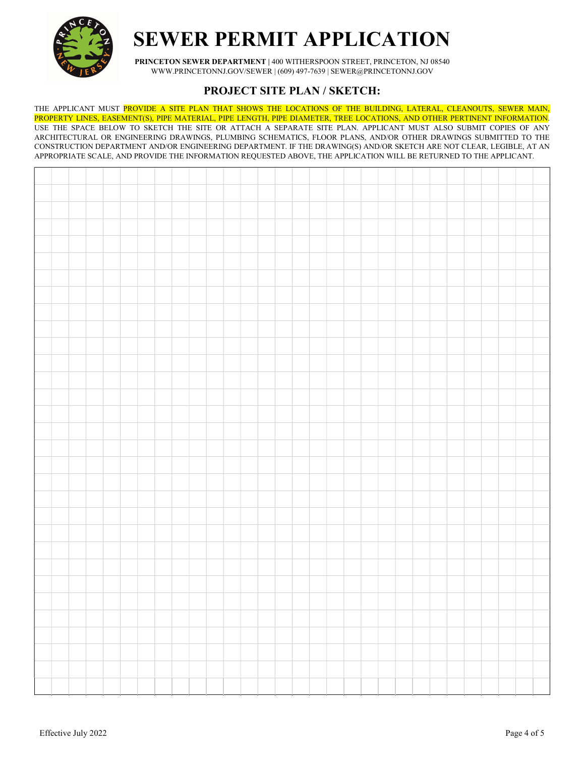

PRINCETON SEWER DEPARTMENT | 400 WITHERSPOON STREET, PRINCETON, NJ 08540 WWW.PRINCETONNJ.GOV/SEWER | (609) 497-7639 | SEWER@PRINCETONNJ.GOV

### PROJECT SITE PLAN / SKETCH:

THE APPLICANT MUST PROVIDE A SITE PLAN THAT SHOWS THE LOCATIONS OF THE BUILDING, LATERAL, CLEANOUTS, SEWER MAIN, PROPERTY LINES, EASEMENT(S), PIPE MATERIAL, PIPE LENGTH, PIPE DIAMETER, TREE LOCATIONS, AND OTHER PERTINENT INFORMATION. USE THE SPACE BELOW TO SKETCH THE SITE OR ATTACH A SEPARATE SITE PLAN. APPLICANT MUST ALSO SUBMIT COPIES OF ANY ARCHITECTURAL OR ENGINEERING DRAWINGS, PLUMBING SCHEMATICS, FLOOR PLANS, AND/OR OTHER DRAWINGS SUBMITTED TO THE CONSTRUCTION DEPARTMENT AND/OR ENGINEERING DEPARTMENT. IF THE DRAWING(S) AND/OR SKETCH ARE NOT CLEAR, LEGIBLE, AT AN APPROPRIATE SCALE, AND PROVIDE THE INFORMATION REQUESTED ABOVE, THE APPLICATION WILL BE RETURNED TO THE APPLICANT.